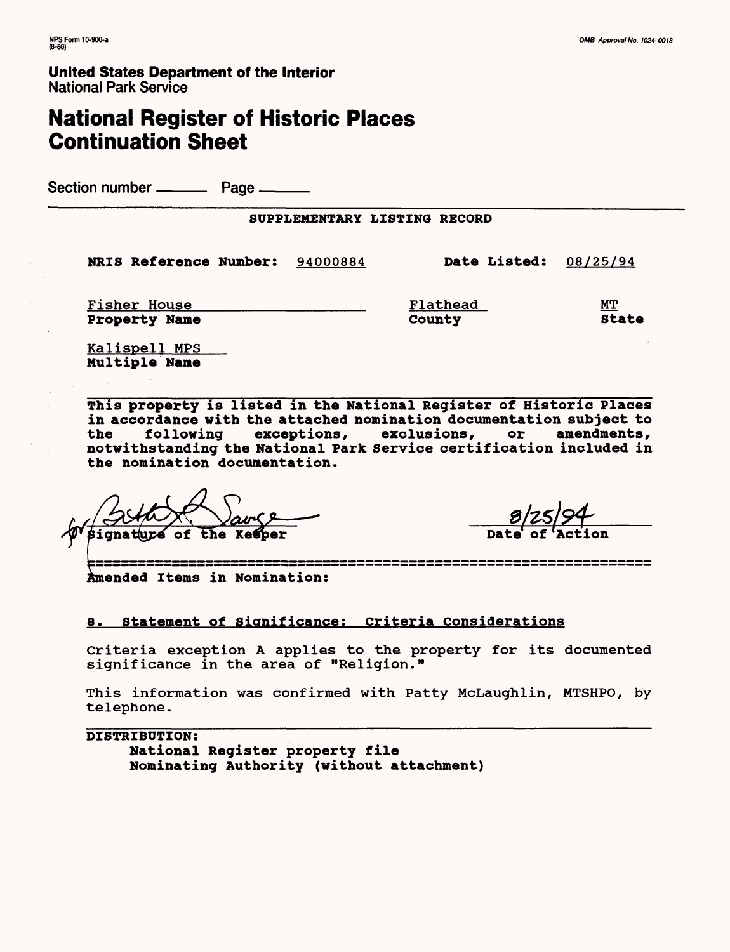**United States Department of the Interior** National Park Service

# **National Register of Historic Places Continuation Sheet**

Section number ——— Page ———

## SUPPLEMENTARY LISTING RECORD

NRIS Reference Number: 94000884 Date Listed: 08/25/94

Property Name

Fisher House The Manuscript of the Manuscript of the Manuscript of MT (Flathead MT)<br>Property Name The County County State

Kalispell MPS Multiple Name

**This property is listed in the National Register of Historic Places in accordance with the attached nomination documentation subject to the following exceptions, exclusions, or amendments, notwithstanding the National Park Service certification included in the nomination documentation.**

人<br>百 ignature of the Keeper Date of

ended Items in Nomination:

## **8. Statement of Significance; criteria considerations**

Criteria exception A applies to the property for its documented significance in the area of "Religion."

This information was confirmed with Patty McLaughlin, MTSHPO, by telephone.

**DISTRIBUTION:** National Register property file Nominating Authority (without attachment)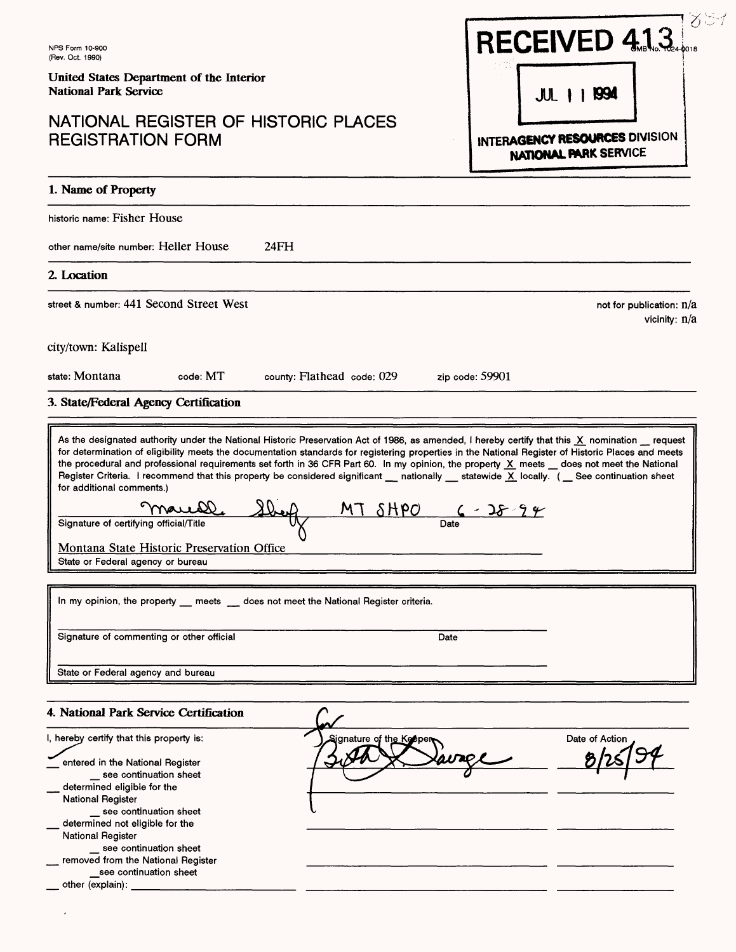| NPS Form 10-900<br>(Rev. Oct. 1990)                                                                                                                                                                                                                                                                                                                                                                                                                                                                                                                                                                                                                                                                                                                                           | RECEIVED 4.1.3                                          |
|-------------------------------------------------------------------------------------------------------------------------------------------------------------------------------------------------------------------------------------------------------------------------------------------------------------------------------------------------------------------------------------------------------------------------------------------------------------------------------------------------------------------------------------------------------------------------------------------------------------------------------------------------------------------------------------------------------------------------------------------------------------------------------|---------------------------------------------------------|
| United States Department of the Interior<br><b>National Park Service</b>                                                                                                                                                                                                                                                                                                                                                                                                                                                                                                                                                                                                                                                                                                      | <b>1 1994</b><br>$J$ UL $\parallel$                     |
| NATIONAL REGISTER OF HISTORIC PLACES<br><b>REGISTRATION FORM</b>                                                                                                                                                                                                                                                                                                                                                                                                                                                                                                                                                                                                                                                                                                              | INTERAGENCY RESOURCES DIVISION<br>NATIONAL PARK SERVICE |
| 1. Name of Property                                                                                                                                                                                                                                                                                                                                                                                                                                                                                                                                                                                                                                                                                                                                                           |                                                         |
| historic name: Fisher House                                                                                                                                                                                                                                                                                                                                                                                                                                                                                                                                                                                                                                                                                                                                                   |                                                         |
| other name/site number: Heller House<br>24FH                                                                                                                                                                                                                                                                                                                                                                                                                                                                                                                                                                                                                                                                                                                                  |                                                         |
| 2. Location                                                                                                                                                                                                                                                                                                                                                                                                                                                                                                                                                                                                                                                                                                                                                                   |                                                         |
| street & number: 441 Second Street West                                                                                                                                                                                                                                                                                                                                                                                                                                                                                                                                                                                                                                                                                                                                       | not for publication: $n/a$<br>vicinity: $n/a$           |
| city/town: Kalispell                                                                                                                                                                                                                                                                                                                                                                                                                                                                                                                                                                                                                                                                                                                                                          |                                                         |
| state: Montana<br>code: MT<br>county: Flathead code: 029                                                                                                                                                                                                                                                                                                                                                                                                                                                                                                                                                                                                                                                                                                                      | zip code: 59901                                         |
| 3. State/Federal Agency Certification                                                                                                                                                                                                                                                                                                                                                                                                                                                                                                                                                                                                                                                                                                                                         |                                                         |
| As the designated authority under the National Historic Preservation Act of 1986, as amended, I hereby certify that this X nomination request<br>for determination of eligibility meets the documentation standards for registering properties in the National Register of Historic Places and meets<br>the procedural and professional requirements set forth in 36 CFR Part 60. In my opinion, the property X meets _ does not meet the National<br>Register Criteria. I recommend that this property be considered significant __ nationally __ statewide X locally. ( __ See continuation sheet<br>for additional comments.)<br>MT<br>maush)<br>Signature of certifying official/Title<br>Montana State Historic Preservation Office<br>State or Federal agency or bureau | $\delta$ HPO<br>Date                                    |
| In my opinion, the property __ meets __ does not meet the National Register criteria.                                                                                                                                                                                                                                                                                                                                                                                                                                                                                                                                                                                                                                                                                         |                                                         |
| Signature of commenting or other official                                                                                                                                                                                                                                                                                                                                                                                                                                                                                                                                                                                                                                                                                                                                     | Date                                                    |
| State or Federal agency and bureau                                                                                                                                                                                                                                                                                                                                                                                                                                                                                                                                                                                                                                                                                                                                            |                                                         |
| 4. National Park Service Certification                                                                                                                                                                                                                                                                                                                                                                                                                                                                                                                                                                                                                                                                                                                                        |                                                         |
| I, hereby certify that this property is:<br>entered in the National Register<br>_ see continuation sheet<br>determined eligible for the<br><b>National Register</b><br>_ see continuation sheet<br>determined not eligible for the<br><b>National Register</b><br>see continuation sheet<br>removed from the National Register<br>see continuation sheet<br>other (explain):                                                                                                                                                                                                                                                                                                                                                                                                  | Date of Action<br>Signature of th <u>e Ke</u> epe       |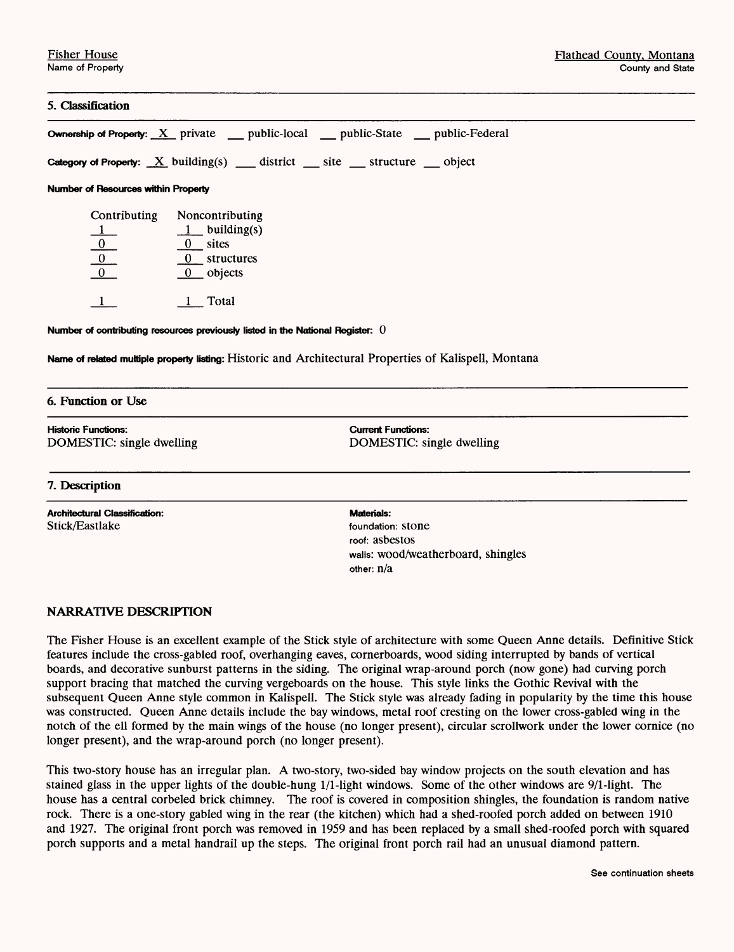## **5. Classification**

|                                                                                           |                                                                                                         | <b>Ownership of Property:</b> $\underline{X}$ private __ public-local __ public-State __ public-Federal |  |  |
|-------------------------------------------------------------------------------------------|---------------------------------------------------------------------------------------------------------|---------------------------------------------------------------------------------------------------------|--|--|
|                                                                                           | Category of Property: $X$ building(s) _ district _ site _ structure _ object                            |                                                                                                         |  |  |
| <b>Number of Resources within Property</b>                                                |                                                                                                         |                                                                                                         |  |  |
| Contributing<br>$\begin{array}{c c}\n1 & 0 \\ \hline\n0 & 0\n\end{array}$<br>$\mathbf{1}$ | Noncontributing<br>$1$ building(s)<br>$\frac{0}{1}$ sites<br>$0$ structures<br>$0$ objects<br>$1$ Total |                                                                                                         |  |  |
|                                                                                           | Number of contributing resources previously listed in the National Register: $0$                        |                                                                                                         |  |  |
|                                                                                           |                                                                                                         | Name of related multiple property listing: Historic and Architectural Properties of Kalispell, Montana  |  |  |
| 6. Function or Use                                                                        |                                                                                                         |                                                                                                         |  |  |
| <b>Historic Functions:</b><br>DOMESTIC: single dwelling                                   |                                                                                                         | <b>Current Functions:</b><br>DOMESTIC: single dwelling                                                  |  |  |
| 7. Description                                                                            |                                                                                                         |                                                                                                         |  |  |
| <b>Architectural Classification:</b><br>Stick/Eastlake                                    |                                                                                                         | <b>Materials:</b><br>foundation: stone<br>roof: asbestos<br>walls: wood/weatherboard, shingles          |  |  |

## **NARRATIVE DESCRIPTION**

The Fisher House is an excellent example of the Stick style of architecture with some Queen Anne details. Definitive Stick features include the cross-gabled roof, overhanging eaves, cornerboards, wood siding interrupted by bands of vertical boards, and decorative sunburst patterns in the siding. The original wrap-around porch (now gone) had curving porch support bracing that matched the curving vergeboards on the house. This style links the Gothic Revival with the subsequent Queen Anne style common in Kalispell. The Stick style was already fading in popularity by the time this house was constructed. Queen Anne details include the bay windows, metal roof cresting on the lower cross-gabled wing in the notch of the ell formed by the main wings of the house (no longer present), circular scrollwork under the lower cornice (no longer present), and the wrap-around porch (no longer present).

other: n/a

This two-story house has an irregular plan. A two-story, two-sided bay window projects on the south elevation and has stained glass in the upper lights of the double-hung 1/1-light windows. Some of the other windows are 9/1-light. The house has a central corbeled brick chimney. The roof is covered in composition shingles, the foundation is random native rock. There is a one-story gabled wing in the rear (the kitchen) which had a shed-roofed porch added on between 1910 and 1927. The original front porch was removed in 1959 and has been replaced by a small shed-roofed porch with squared porch supports and a metal handrail up the steps. The original front porch rail had an unusual diamond pattern.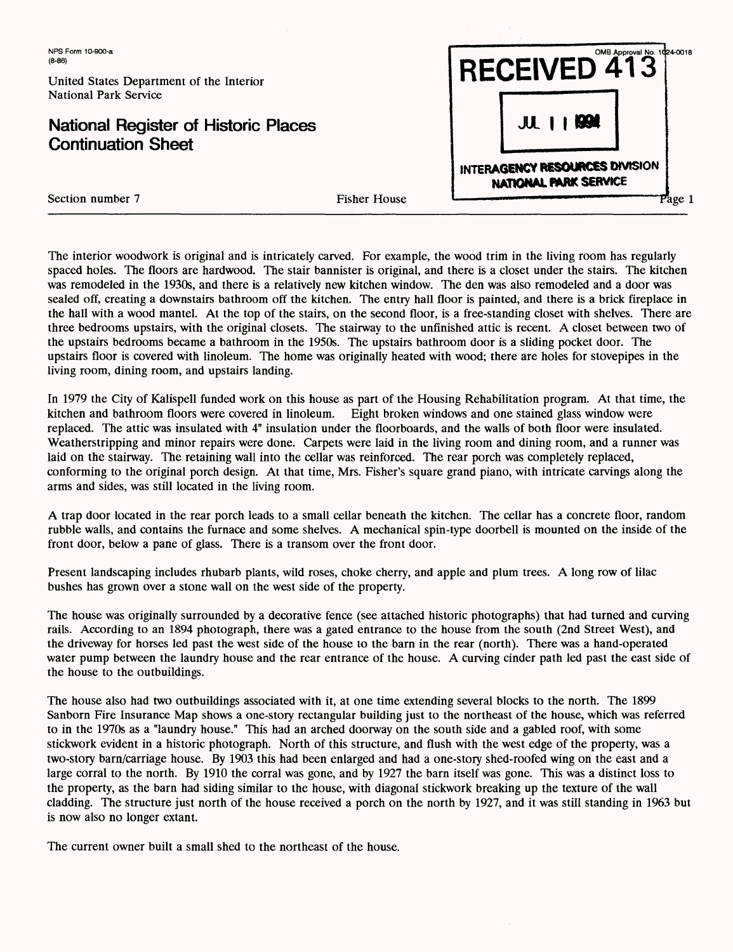United States Department of the Interior National Park Service

## **National Register of Historic Places Continuation Sheet**

|                                                                   | <b>RECEIVED 413</b> | OMB Approval No. 1024-0018 |  |
|-------------------------------------------------------------------|---------------------|----------------------------|--|
|                                                                   | <b>JUL 1   1994</b> |                            |  |
| INTERAGENCY RESOURCES DIVISION<br>NATIONAL PARK SERVICE<br>Page 1 |                     |                            |  |

Section number 7 Fisher House

The interior woodwork is original and is intricately carved. For example, the wood trim in the living room has regularly spaced holes. The floors are hardwood. The stair bannister is original, and there is a closet under the stairs. The kitchen was remodeled in the 1930s, and there is a relatively new kitchen window. The den was also remodeled and a door was sealed off, creating a downstairs bathroom off the kitchen. The entry hall floor is painted, and there is a brick fireplace in the hall with a wood mantel. At the top of the stairs, on the second floor, is a free-standing closet with shelves. There are three bedrooms upstairs, with the original closets. The stairway to the unfinished attic is recent. A closet between two of the upstairs bedrooms became a bathroom in the 1950s. The upstairs bathroom door is a sliding pocket door. The upstairs floor is covered with linoleum. The home was originally heated with wood; there are holes for stovepipes in the living room, dining room, and upstairs landing.

In 1979 the City of Kalispell funded work on this house as part of the Housing Rehabilitation program. At that time, the kitchen and bathroom floors were covered in linoleum. Eight broken windows and one stained glass window were replaced. The attic was insulated with 4" insulation under the floorboards, and the walls of both floor were insulated. Weatherstripping and minor repairs were done. Carpets were laid in the living room and dining room, and a runner was laid on the stairway. The retaining wall into the cellar was reinforced. The rear porch was completely replaced, conforming to the original porch design. At that time, Mrs. Fisher's square grand piano, with intricate carvings along the arms and sides, was still located in the living room.

A trap door located in the rear porch leads to a small cellar beneath the kitchen. The cellar has a concrete floor, random rubble walls, and contains the furnace and some shelves. A mechanical spin-type doorbell is mounted on the inside of the front door, below a pane of glass. There is a transom over the front door.

Present landscaping includes rhubarb plants, wild roses, choke cherry, and apple and plum trees. A long row of lilac bushes has grown over a stone wall on the west side of the property.

The house was originally surrounded by a decorative fence (see attached historic photographs) that had turned and curving rails. According to an 1894 photograph, there was a gated entrance to the house from the south (2nd Street West), and the driveway for horses led past the west side of the house to the barn in the rear (north). There was a hand-operated water pump between the laundry house and the rear entrance of the house. A curving cinder path led past the east side of the house to the outbuildings.

The house also had two outbuildings associated with it, at one time extending several blocks to the north. The 1899 Sanborn Fire Insurance Map shows a one-story rectangular building just to the northeast of the house, which was referred to in the 1970s as a "laundry house." This had an arched doorway on the south side and a gabled roof, with some stickwork evident in a historic photograph. North of this structure, and flush with the west edge of the property, was a two-story barn/carriage house. By 1903 this had been enlarged and had a one-story shed-roofed wing on the east and a large corral to the north. By 1910 the corral was gone, and by 1927 the barn itself was gone. This was a distinct loss to the property, as the barn had siding similar to the house, with diagonal stickwork breaking up the texture of the wall cladding. The structure just north of the house received a porch on the north by 1927, and it was still standing in 1963 but is now also no longer extant.

The current owner built a small shed to the northeast of the house.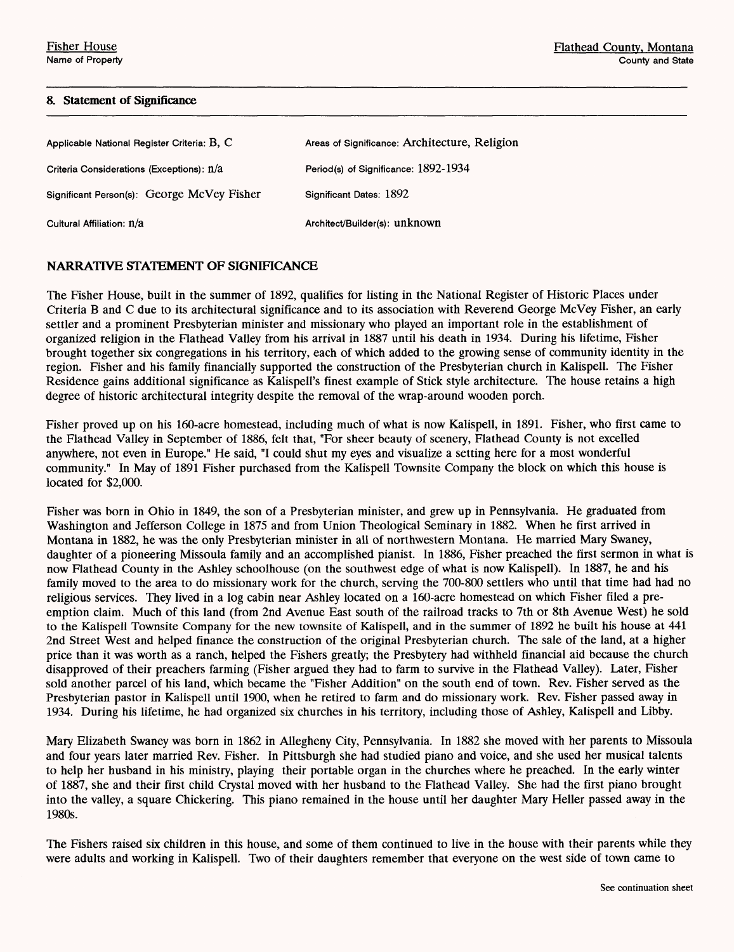### **8. Statement of Significance**

| Applicable National Register Criteria: $B, C$ | Areas of Significance: Architecture, Religion |
|-----------------------------------------------|-----------------------------------------------|
| Criteria Considerations (Exceptions): n/a     | Period(s) of Significance: 1892-1934          |
| Significant Person(s): George McVey Fisher    | Significant Dates: 1892                       |
| Cultural Affiliation: n/a                     | Architect/Builder(s): unknown                 |

## NARRATIVE STATEMENT **OF** SIGNIFICANCE

The Fisher House, built in the summer of 1892, qualifies for listing in the National Register of Historic Places under Criteria B and C due to its architectural significance and to its association with Reverend George McVey Fisher, an early settler and a prominent Presbyterian minister and missionary who played an important role in the establishment of organized religion in the Flathead Valley from his arrival in 1887 until his death in 1934. During his lifetime, Fisher brought together six congregations in his territory, each of which added to the growing sense of community identity in the region. Fisher and his family financially supported the construction of the Presbyterian church in Kalispell. The Fisher Residence gains additional significance as Kalispell's finest example of Stick style architecture. The house retains a high degree of historic architectural integrity despite the removal of the wrap-around wooden porch.

Fisher proved up on his 160-acre homestead, including much of what is now Kalispell, in 1891. Fisher, who first came to the Flathead Valley in September of 1886, felt that, "For sheer beauty of scenery, Flathead County is not excelled anywhere, not even in Europe." He said, "I could shut my eyes and visualize a setting here for a most wonderful community." In May of 1891 Fisher purchased from the Kalispell Townsite Company the block on which this house is located for \$2,000.

Fisher was born in Ohio in 1849, the son of a Presbyterian minister, and grew up in Pennsylvania. He graduated from Washington and Jefferson College in 1875 and from Union Theological Seminary in 1882. When he first arrived in Montana in 1882, he was the only Presbyterian minister in all of northwestern Montana. He married Mary Swaney, daughter of a pioneering Missoula family and an accomplished pianist. In 1886, Fisher preached the first sermon in what is now Flathead County in the Ashley schoolhouse (on the southwest edge of what is now Kalispell). In 1887, he and his family moved to the area to do missionary work for the church, serving the 700-800 settlers who until that time had had no religious services. They lived in a log cabin near Ashley located on a 160-acre homestead on which Fisher filed a preemption claim. Much of this land (from 2nd Avenue East south of the railroad tracks to 7th or 8th Avenue West) he sold to the Kalispell Townsite Company for the new townsite of Kalispell, and in the summer of 1892 he built his house at 441 2nd Street West and helped finance the construction of the original Presbyterian church. The sale of the land, at a higher price than it was worth as a ranch, helped the Fishers greatly; the Presbytery had withheld financial aid because the church disapproved of their preachers farming (Fisher argued they had to farm to survive in the Flathead Valley). Later, Fisher sold another parcel of his land, which became the "Fisher Addition" on the south end of town. Rev. Fisher served as the Presbyterian pastor in Kalispell until 1900, when he retired to farm and do missionary work. Rev. Fisher passed away in 1934. During his lifetime, he had organized six churches in his territory, including those of Ashley, Kalispell and Libby.

Mary Elizabeth Swaney was born in 1862 in Allegheny City, Pennsylvania. In 1882 she moved with her parents to Missoula and four years later married Rev. Fisher. In Pittsburgh she had studied piano and voice, and she used her musical talents to help her husband in his ministry, playing their portable organ in the churches where he preached. In the early winter of 1887, she and their first child Crystal moved with her husband to the Flathead Valley. She had the first piano brought into the valley, a square Chickering. This piano remained in the house until her daughter Mary Heller passed away in the 1980s.

The Fishers raised six children in this house, and some of them continued to live in the house with their parents while they were adults and working in Kalispell. Two of their daughters remember that everyone on the west side of town came to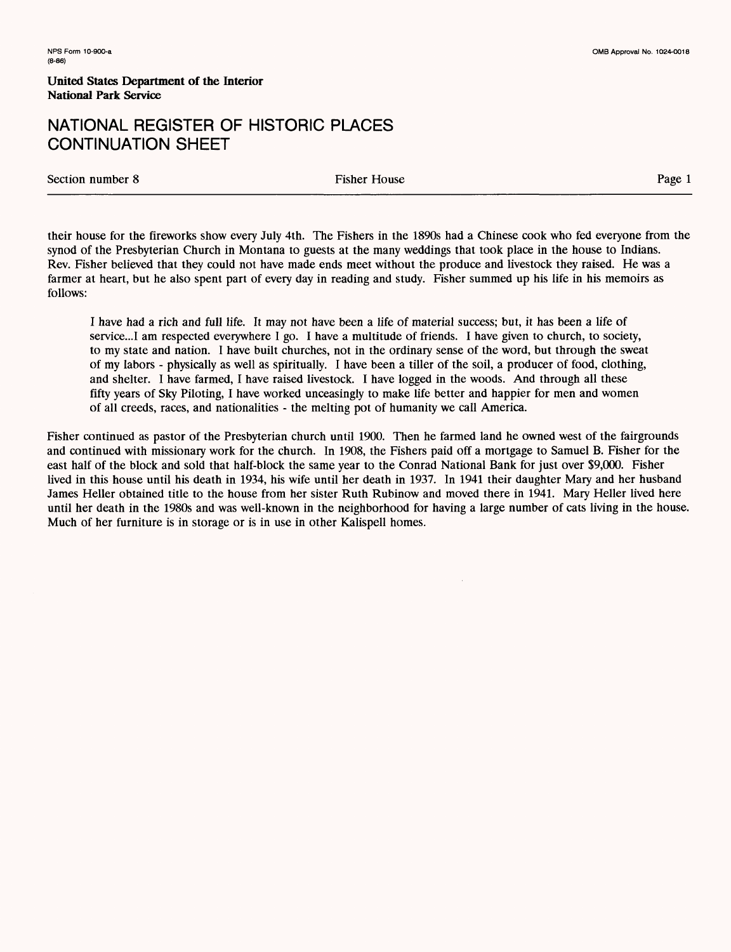**United States Department of the Interior National Park Service**

## NATIONAL REGISTER OF HISTORIC PLACES CONTINUATION SHEET

Section number 8 Fisher House Page 1

their house for the fireworks show every July 4th. The Fishers in the 1890s had a Chinese cook who fed everyone from the synod of the Presbyterian Church in Montana to guests at the many weddings that took place in the house to Indians. Rev. Fisher believed that they could not have made ends meet without the produce and livestock they raised. He was a farmer at heart, but he also spent part of every day in reading and study. Fisher summed up his life in his memoirs as follows:

I have had a rich and full life. It may not have been a life of material success; but, it has been a life of service...! am respected everywhere I go. I have a multitude of friends. I have given to church, to society, to my state and nation. I have built churches, not in the ordinary sense of the word, but through the sweat of my labors - physically as well as spiritually. I have been a tiller of the soil, a producer of food, clothing, and shelter. I have farmed, I have raised livestock. I have logged in the woods. And through all these fifty years of Sky Piloting, I have worked unceasingly to make life better and happier for men and women of all creeds, races, and nationalities - the melting pot of humanity we call America.

Fisher continued as pastor of the Presbyterian church until 1900. Then he farmed land he owned west of the fairgrounds and continued with missionary work for the church. In 1908, the Fishers paid off a mortgage to Samuel B. Fisher for the east half of the block and sold that half-block the same year to the Conrad National Bank for just over \$9,000. Fisher lived in this house until his death in 1934, his wife until her death in 1937. In 1941 their daughter Mary and her husband James Heller obtained title to the house from her sister Ruth Rubinow and moved there in 1941. Mary Heller lived here until her death in the 1980s and was well-known in the neighborhood for having a large number of cats living in the house. Much of her furniture is in storage or is in use in other Kalispell homes.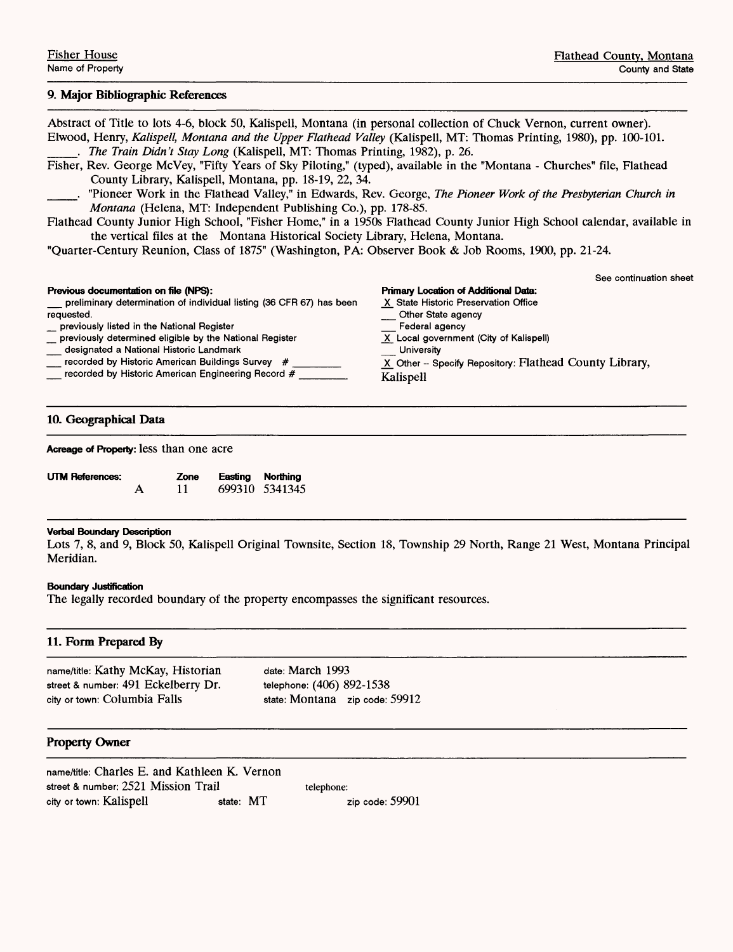### **9. Major Bibliographic References**

Abstract of Title to lots 4-6, block 50, Kalispell, Montana (in personal collection of Chuck Vernon, current owner). Elwood, Henry, *Kalispell, Montana and the Upper Flathead Valley* (Kalispell, MT: Thomas Printing, 1980), pp. 100-101. \_\_\_. *The Train Didn't Stay Long* (Kalispell, MT: Thomas Printing, 1982), p. 26. Fisher, Rev. George McVey, "Fifty Years of Sky Piloting," (typed), available in the "Montana - Churches" file, Flathead County Library, Kalispell, Montana, pp. 18-19, 22, 34. \_\_\_. "Pioneer Work in the Flathead Valley," in Edwards, Rev. George, *The Pioneer Work of the Presbyterian Church in Montana* (Helena, MT: Independent Publishing Co.), pp. 178-85. Flathead County Junior High School, "Fisher Home," in a 1950s Flathead County Junior High School calendar, available in the vertical files at the Montana Historical Society Library, Helena, Montana. "Quarter-Century Reunion, Class of 1875" (Washington, PA: Observer Book & Job Rooms, 1900, pp. 21-24. See continuation sheet **Previous documentation on file (NPS):** Primary Location of Additional Data:<br>preliminary determination of individual listing (36 CFR 67) has been X State Historic Preservation Office \_\_ preliminary determination of individual listing (36 CFR 67) has been requested. Other State agency<br>Federal agency \_ previously listed in the National Register \_\_ Federal agency \_ previously determined eligible by the National Register X Local government (City of Kalispell) \_ designated a National Historic Landmark \_ University \_\_ recorded by Historic American Buildings Survey # \_\_\_\_\_\_ \_X\_ Other - Specify Repository: **Flathead County Library,** \_ recorded by Historic American Engineering Record # \_\_\_\_\_\_\_ Kalispell **10. Geographical Data Acreage of Property:** less than one acre

| UTM References: |   | Zone | Easting Northing |
|-----------------|---|------|------------------|
|                 | А |      | 699310 5341345   |

#### **Verbal Boundary Description**

Lots 7, 8, and 9, Block 50, Kalispell Original Townsite, Section 18, Township 29 North, Range 21 West, Montana Principal Meridian.

#### **Boundary Justification**

The legally recorded boundary of the property encompasses the significant resources.

#### **11. Form Prepared By**

name/title: Kathy McKay, Historian date: March 1993 street & number: 491 Eckelberry Dr. telephone: (406) 892-1538 city or town: Columbia Falls state: Montana zip code: 59912

### **Property Owner**

| name/title: Charles E. and Kathleen K. Vernon |           |                   |
|-----------------------------------------------|-----------|-------------------|
| street & number: 2521 Mission Trail           |           | telephone:        |
| city or town: Kalispell                       | state: MT | zip code: $59901$ |